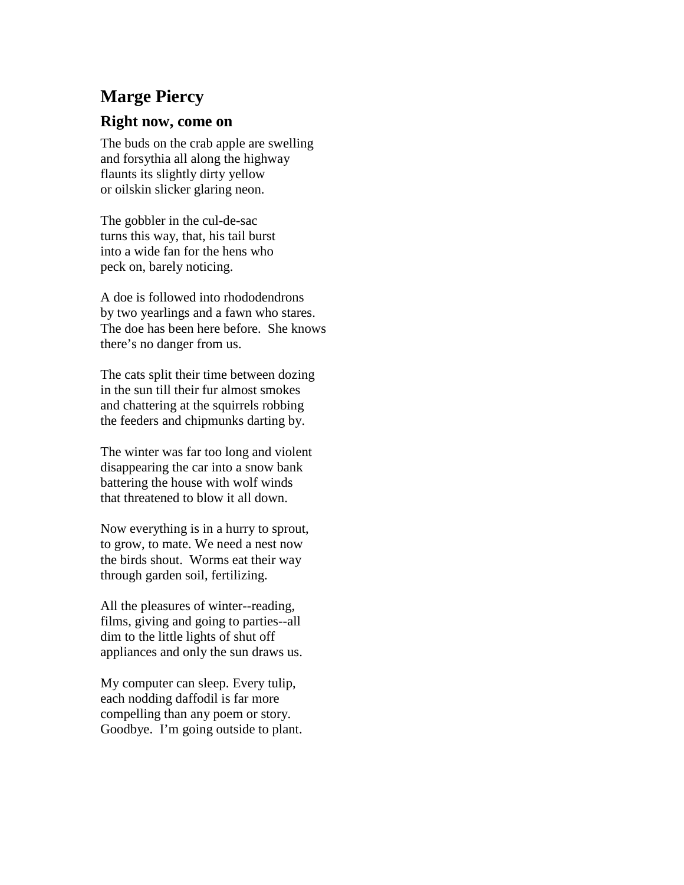## **Marge Piercy**

## **Right now, come on**

The buds on the crab apple are swelling and forsythia all along the highway flaunts its slightly dirty yellow or oilskin slicker glaring neon.

The gobbler in the cul-de-sac turns this way, that, his tail burst into a wide fan for the hens who peck on, barely noticing.

A doe is followed into rhododendrons by two yearlings and a fawn who stares. The doe has been here before. She knows there's no danger from us.

The cats split their time between dozing in the sun till their fur almost smokes and chattering at the squirrels robbing the feeders and chipmunks darting by.

The winter was far too long and violent disappearing the car into a snow bank battering the house with wolf winds that threatened to blow it all down.

Now everything is in a hurry to sprout, to grow, to mate. We need a nest now the birds shout. Worms eat their way through garden soil, fertilizing.

All the pleasures of winter--reading, films, giving and going to parties--all dim to the little lights of shut off appliances and only the sun draws us.

My computer can sleep. Every tulip, each nodding daffodil is far more compelling than any poem or story. Goodbye. I'm going outside to plant.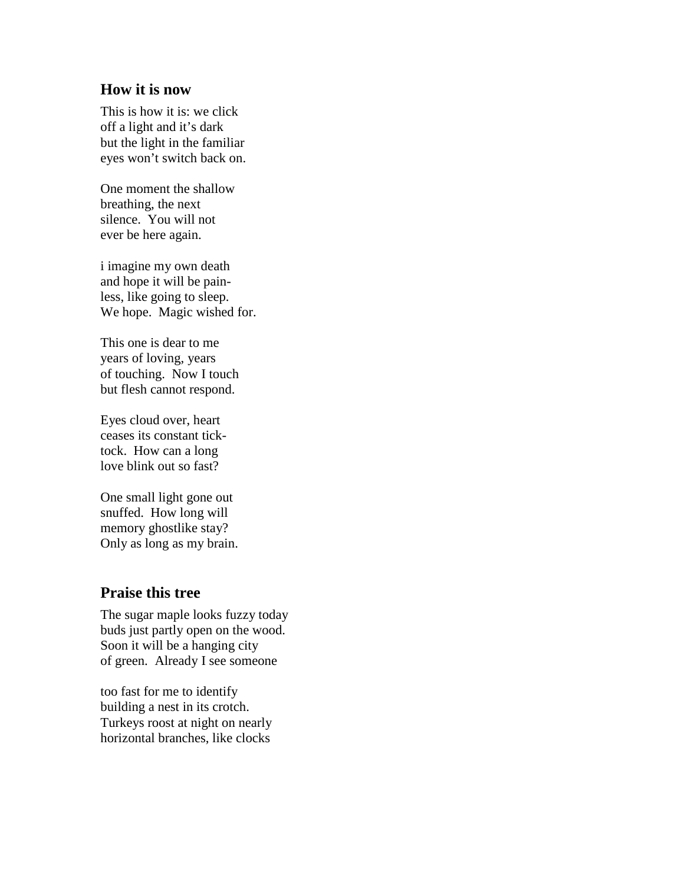## **How it is now**

This is how it is: we click off a light and it's dark but the light in the familiar eyes won't switch back on.

One moment the shallow breathing, the next silence. You will not ever be here again.

i imagine my own death and hope it will be painless, like going to sleep. We hope. Magic wished for.

This one is dear to me years of loving, years of touching. Now I touch but flesh cannot respond.

Eyes cloud over, heart ceases its constant ticktock. How can a long love blink out so fast?

One small light gone out snuffed. How long will memory ghostlike stay? Only as long as my brain.

## **Praise this tree**

The sugar maple looks fuzzy today buds just partly open on the wood. Soon it will be a hanging city of green. Already I see someone

too fast for me to identify building a nest in its crotch. Turkeys roost at night on nearly horizontal branches, like clocks